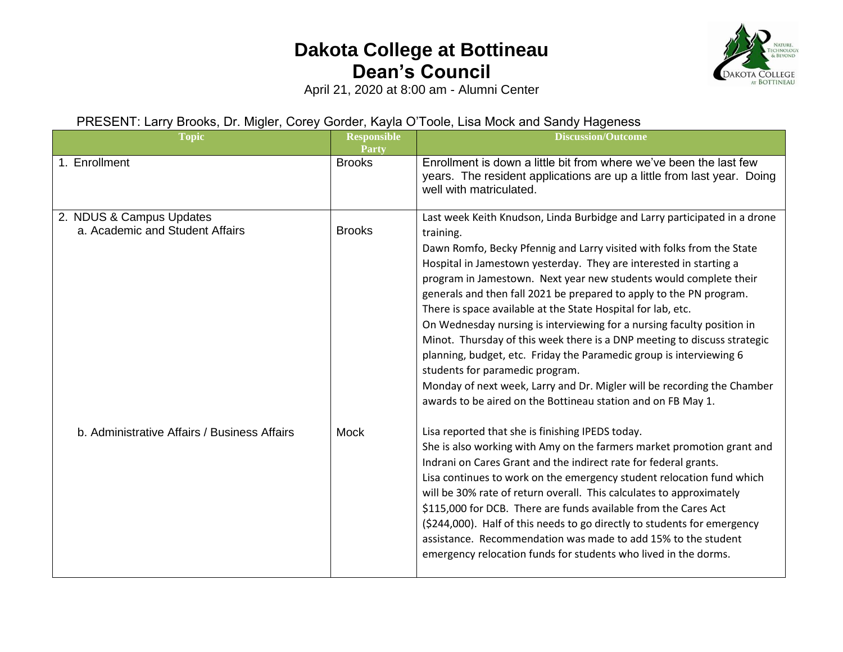

April 21, 2020 at 8:00 am - Alumni Center

#### PRESENT: Larry Brooks, Dr. Migler, Corey Gorder, Kayla O'Toole, Lisa Mock and Sandy Hageness

| <b>Topic</b>                                                | <b>Responsible</b><br>Party | <b>Discussion/Outcome</b>                                                                                                                                                                                                                                                                                                                                                                                                                                                                                                                                                                                                                                                                                                                                                                                                                                    |
|-------------------------------------------------------------|-----------------------------|--------------------------------------------------------------------------------------------------------------------------------------------------------------------------------------------------------------------------------------------------------------------------------------------------------------------------------------------------------------------------------------------------------------------------------------------------------------------------------------------------------------------------------------------------------------------------------------------------------------------------------------------------------------------------------------------------------------------------------------------------------------------------------------------------------------------------------------------------------------|
| 1. Enrollment                                               | <b>Brooks</b>               | Enrollment is down a little bit from where we've been the last few<br>years. The resident applications are up a little from last year. Doing<br>well with matriculated.                                                                                                                                                                                                                                                                                                                                                                                                                                                                                                                                                                                                                                                                                      |
| 2. NDUS & Campus Updates<br>a. Academic and Student Affairs | <b>Brooks</b>               | Last week Keith Knudson, Linda Burbidge and Larry participated in a drone<br>training.<br>Dawn Romfo, Becky Pfennig and Larry visited with folks from the State<br>Hospital in Jamestown yesterday. They are interested in starting a<br>program in Jamestown. Next year new students would complete their<br>generals and then fall 2021 be prepared to apply to the PN program.<br>There is space available at the State Hospital for lab, etc.<br>On Wednesday nursing is interviewing for a nursing faculty position in<br>Minot. Thursday of this week there is a DNP meeting to discuss strategic<br>planning, budget, etc. Friday the Paramedic group is interviewing 6<br>students for paramedic program.<br>Monday of next week, Larry and Dr. Migler will be recording the Chamber<br>awards to be aired on the Bottineau station and on FB May 1. |
| b. Administrative Affairs / Business Affairs                | <b>Mock</b>                 | Lisa reported that she is finishing IPEDS today.<br>She is also working with Amy on the farmers market promotion grant and<br>Indrani on Cares Grant and the indirect rate for federal grants.<br>Lisa continues to work on the emergency student relocation fund which<br>will be 30% rate of return overall. This calculates to approximately<br>\$115,000 for DCB. There are funds available from the Cares Act<br>(\$244,000). Half of this needs to go directly to students for emergency<br>assistance. Recommendation was made to add 15% to the student<br>emergency relocation funds for students who lived in the dorms.                                                                                                                                                                                                                           |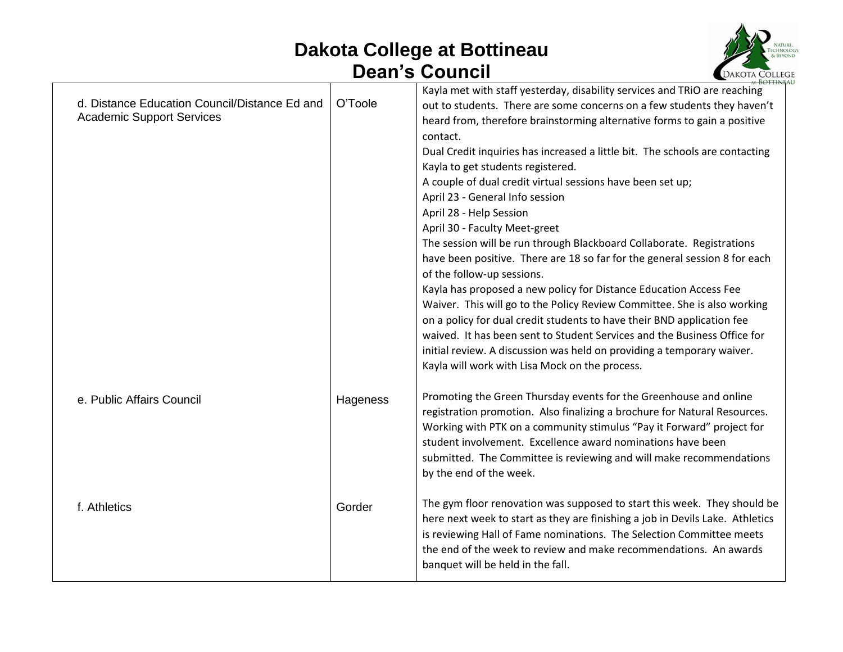

| d. Distance Education Council/Distance Ed and<br><b>Academic Support Services</b> | O'Toole  | Kayla met with staff yesterday, disability services and TRiO are reaching<br>out to students. There are some concerns on a few students they haven't<br>heard from, therefore brainstorming alternative forms to gain a positive<br>contact.<br>Dual Credit inquiries has increased a little bit. The schools are contacting<br>Kayla to get students registered.<br>A couple of dual credit virtual sessions have been set up;<br>April 23 - General Info session<br>April 28 - Help Session<br>April 30 - Faculty Meet-greet<br>The session will be run through Blackboard Collaborate. Registrations<br>have been positive. There are 18 so far for the general session 8 for each<br>of the follow-up sessions.<br>Kayla has proposed a new policy for Distance Education Access Fee<br>Waiver. This will go to the Policy Review Committee. She is also working<br>on a policy for dual credit students to have their BND application fee<br>waived. It has been sent to Student Services and the Business Office for<br>initial review. A discussion was held on providing a temporary waiver.<br>Kayla will work with Lisa Mock on the process. |
|-----------------------------------------------------------------------------------|----------|--------------------------------------------------------------------------------------------------------------------------------------------------------------------------------------------------------------------------------------------------------------------------------------------------------------------------------------------------------------------------------------------------------------------------------------------------------------------------------------------------------------------------------------------------------------------------------------------------------------------------------------------------------------------------------------------------------------------------------------------------------------------------------------------------------------------------------------------------------------------------------------------------------------------------------------------------------------------------------------------------------------------------------------------------------------------------------------------------------------------------------------------------------|
| e. Public Affairs Council                                                         | Hageness | Promoting the Green Thursday events for the Greenhouse and online<br>registration promotion. Also finalizing a brochure for Natural Resources.<br>Working with PTK on a community stimulus "Pay it Forward" project for<br>student involvement. Excellence award nominations have been<br>submitted. The Committee is reviewing and will make recommendations<br>by the end of the week.                                                                                                                                                                                                                                                                                                                                                                                                                                                                                                                                                                                                                                                                                                                                                               |
| f. Athletics                                                                      | Gorder   | The gym floor renovation was supposed to start this week. They should be<br>here next week to start as they are finishing a job in Devils Lake. Athletics<br>is reviewing Hall of Fame nominations. The Selection Committee meets<br>the end of the week to review and make recommendations. An awards<br>banquet will be held in the fall.                                                                                                                                                                                                                                                                                                                                                                                                                                                                                                                                                                                                                                                                                                                                                                                                            |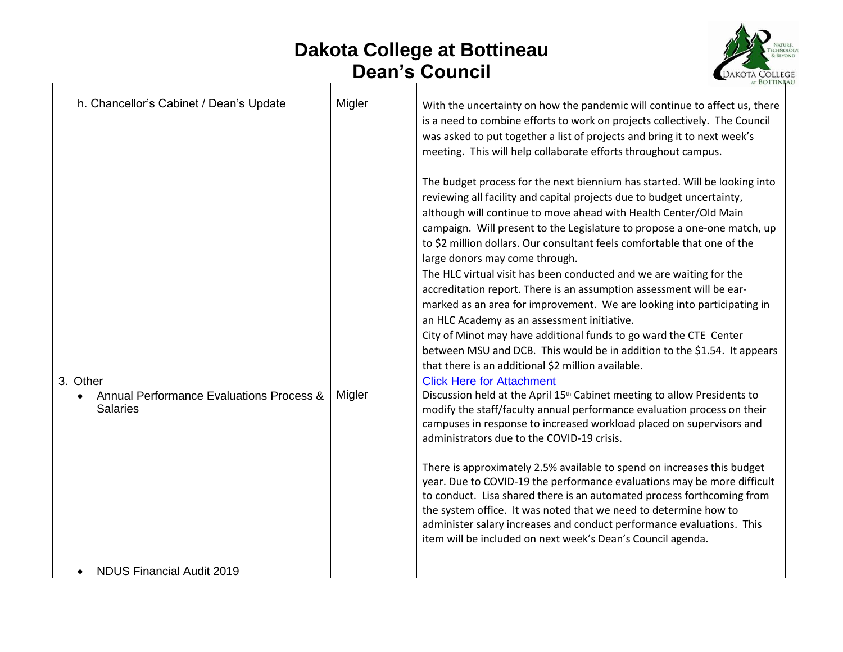- F



| h. Chancellor's Cabinet / Dean's Update                     | Migler | With the uncertainty on how the pandemic will continue to affect us, there<br>is a need to combine efforts to work on projects collectively. The Council<br>was asked to put together a list of projects and bring it to next week's<br>meeting. This will help collaborate efforts throughout campus.                                                                                                                                                                                    |
|-------------------------------------------------------------|--------|-------------------------------------------------------------------------------------------------------------------------------------------------------------------------------------------------------------------------------------------------------------------------------------------------------------------------------------------------------------------------------------------------------------------------------------------------------------------------------------------|
|                                                             |        | The budget process for the next biennium has started. Will be looking into<br>reviewing all facility and capital projects due to budget uncertainty,<br>although will continue to move ahead with Health Center/Old Main<br>campaign. Will present to the Legislature to propose a one-one match, up<br>to \$2 million dollars. Our consultant feels comfortable that one of the<br>large donors may come through.<br>The HLC virtual visit has been conducted and we are waiting for the |
|                                                             |        | accreditation report. There is an assumption assessment will be ear-                                                                                                                                                                                                                                                                                                                                                                                                                      |
|                                                             |        | marked as an area for improvement. We are looking into participating in<br>an HLC Academy as an assessment initiative.                                                                                                                                                                                                                                                                                                                                                                    |
|                                                             |        | City of Minot may have additional funds to go ward the CTE Center                                                                                                                                                                                                                                                                                                                                                                                                                         |
|                                                             |        | between MSU and DCB. This would be in addition to the \$1.54. It appears<br>that there is an additional \$2 million available.                                                                                                                                                                                                                                                                                                                                                            |
| 3. Other                                                    |        | <b>Click Here for Attachment</b>                                                                                                                                                                                                                                                                                                                                                                                                                                                          |
| Annual Performance Evaluations Process &<br><b>Salaries</b> | Migler | Discussion held at the April 15 <sup>th</sup> Cabinet meeting to allow Presidents to<br>modify the staff/faculty annual performance evaluation process on their<br>campuses in response to increased workload placed on supervisors and<br>administrators due to the COVID-19 crisis.                                                                                                                                                                                                     |
|                                                             |        | There is approximately 2.5% available to spend on increases this budget<br>year. Due to COVID-19 the performance evaluations may be more difficult<br>to conduct. Lisa shared there is an automated process forthcoming from<br>the system office. It was noted that we need to determine how to<br>administer salary increases and conduct performance evaluations. This<br>item will be included on next week's Dean's Council agenda.                                                  |
| <b>NDUS Financial Audit 2019</b>                            |        |                                                                                                                                                                                                                                                                                                                                                                                                                                                                                           |